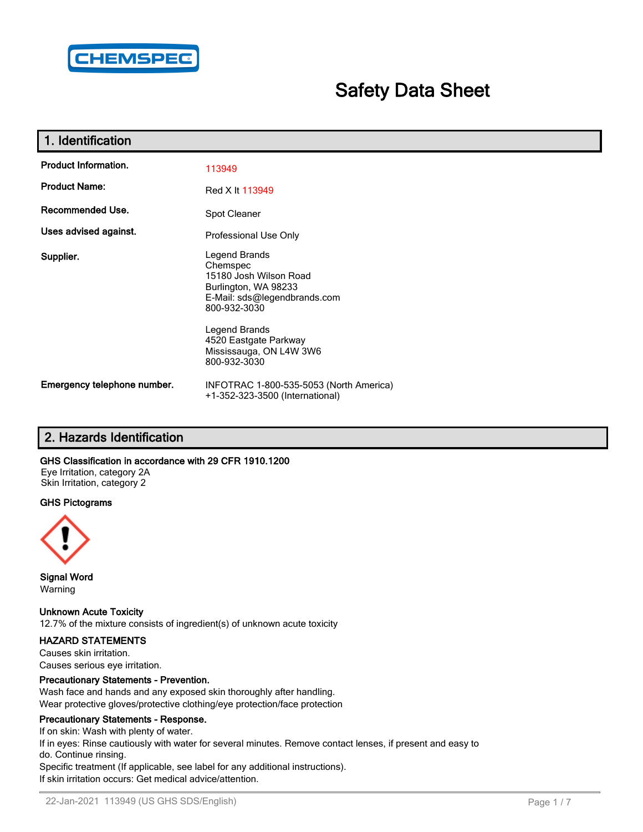

# **Safety Data Sheet**

| 1. Identification           |                                                                                                                                                                                                                  |
|-----------------------------|------------------------------------------------------------------------------------------------------------------------------------------------------------------------------------------------------------------|
| <b>Product Information.</b> | 113949                                                                                                                                                                                                           |
| <b>Product Name:</b>        | Red X It 113949                                                                                                                                                                                                  |
| Recommended Use.            | Spot Cleaner                                                                                                                                                                                                     |
| Uses advised against.       | Professional Use Only                                                                                                                                                                                            |
| Supplier.                   | Legend Brands<br>Chemspec<br>15180 Josh Wilson Road<br>Burlington, WA 98233<br>E-Mail: sds@legendbrands.com<br>800-932-3030<br>Legend Brands<br>4520 Eastgate Parkway<br>Mississauga, ON L4W 3W6<br>800-932-3030 |
| Emergency telephone number. | INFOTRAC 1-800-535-5053 (North America)<br>+1-352-323-3500 (International)                                                                                                                                       |

# **2. Hazards Identification**

#### **GHS Classification in accordance with 29 CFR 1910.1200**

Eye Irritation, category 2A Skin Irritation, category 2

#### **GHS Pictograms**



**Signal Word** Warning

**Unknown Acute Toxicity** 12.7% of the mixture consists of ingredient(s) of unknown acute toxicity

#### **HAZARD STATEMENTS**

Causes skin irritation. Causes serious eye irritation.

#### **Precautionary Statements - Prevention.**

Wash face and hands and any exposed skin thoroughly after handling. Wear protective gloves/protective clothing/eye protection/face protection

#### **Precautionary Statements - Response.**

If on skin: Wash with plenty of water. If in eyes: Rinse cautiously with water for several minutes. Remove contact lenses, if present and easy to do. Continue rinsing. Specific treatment (If applicable, see label for any additional instructions). If skin irritation occurs: Get medical advice/attention.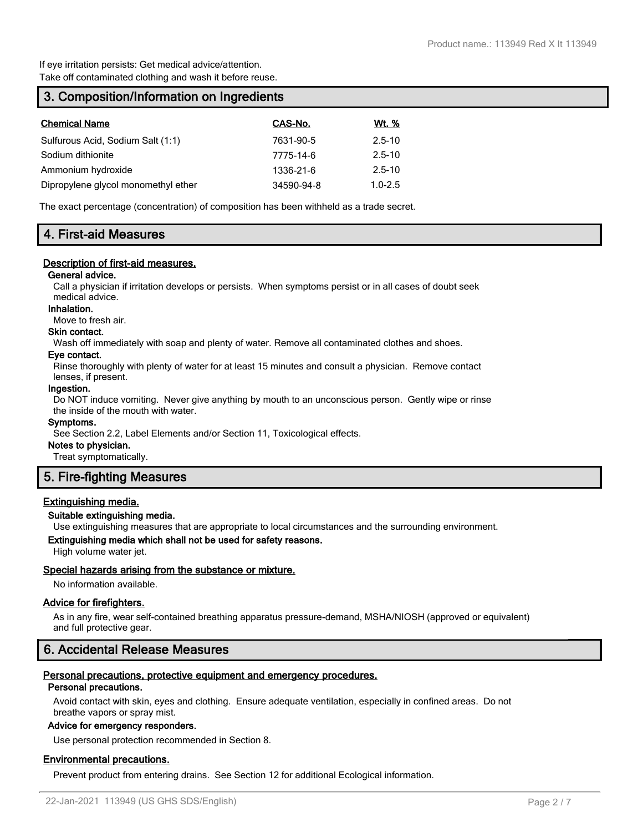If eye irritation persists: Get medical advice/attention. Take off contaminated clothing and wash it before reuse.

# **3. Composition/Information on Ingredients**

| <b>Chemical Name</b>                | CAS-No.    | Wt. %       |
|-------------------------------------|------------|-------------|
| Sulfurous Acid, Sodium Salt (1:1)   | 7631-90-5  | $2.5 - 10$  |
| Sodium dithionite                   | 7775-14-6  | $2.5 - 10$  |
| Ammonium hydroxide                  | 1336-21-6  | $2.5 - 10$  |
| Dipropylene glycol monomethyl ether | 34590-94-8 | $1.0 - 2.5$ |

The exact percentage (concentration) of composition has been withheld as a trade secret.

# **4. First-aid Measures**

### **Description of first-aid measures.**

#### **General advice.**

Call a physician if irritation develops or persists. When symptoms persist or in all cases of doubt seek medical advice.

#### **Inhalation.**

Move to fresh air.

#### **Skin contact.**

Wash off immediately with soap and plenty of water. Remove all contaminated clothes and shoes.

#### **Eye contact.**

Rinse thoroughly with plenty of water for at least 15 minutes and consult a physician. Remove contact lenses, if present.

#### **Ingestion.**

Do NOT induce vomiting. Never give anything by mouth to an unconscious person. Gently wipe or rinse the inside of the mouth with water.

#### **Symptoms.**

See Section 2.2, Label Elements and/or Section 11, Toxicological effects.

## **Notes to physician.**

Treat symptomatically.

# **5. Fire-fighting Measures**

#### **Extinguishing media.**

#### **Suitable extinguishing media.**

Use extinguishing measures that are appropriate to local circumstances and the surrounding environment.

#### **Extinguishing media which shall not be used for safety reasons.**

High volume water jet.

#### **Special hazards arising from the substance or mixture.**

No information available.

#### **Advice for firefighters.**

As in any fire, wear self-contained breathing apparatus pressure-demand, MSHA/NIOSH (approved or equivalent) and full protective gear.

# **6. Accidental Release Measures**

## **Personal precautions, protective equipment and emergency procedures.**

#### **Personal precautions.**

Avoid contact with skin, eyes and clothing. Ensure adequate ventilation, especially in confined areas. Do not breathe vapors or spray mist.

#### **Advice for emergency responders.**

Use personal protection recommended in Section 8.

### **Environmental precautions.**

Prevent product from entering drains. See Section 12 for additional Ecological information.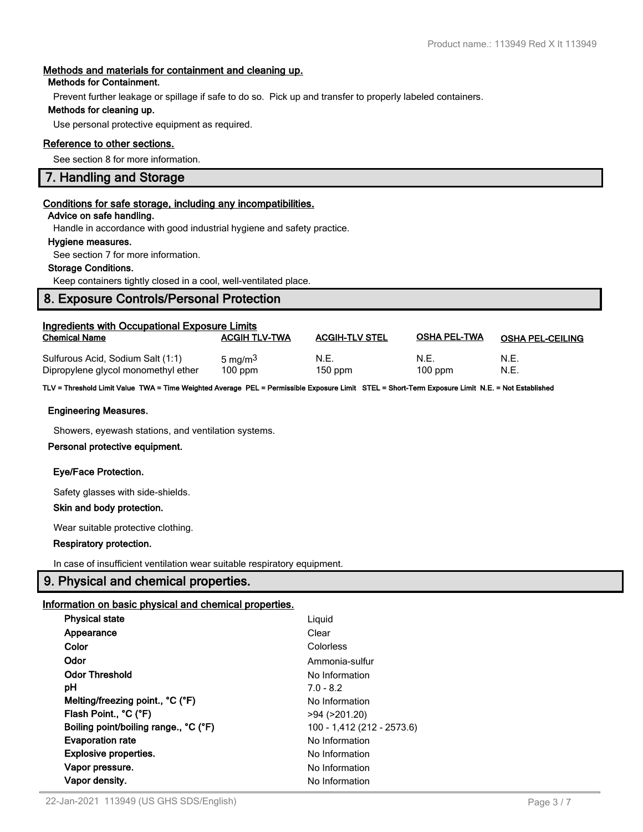#### **Methods and materials for containment and cleaning up.**

#### **Methods for Containment.**

Prevent further leakage or spillage if safe to do so. Pick up and transfer to properly labeled containers.

#### **Methods for cleaning up.**

Use personal protective equipment as required.

### **Reference to other sections.**

See section 8 for more information.

# **7. Handling and Storage**

#### **Conditions for safe storage, including any incompatibilities.**

#### **Advice on safe handling.**

Handle in accordance with good industrial hygiene and safety practice.

#### **Hygiene measures.**

See section 7 for more information.

### **Storage Conditions.**

Keep containers tightly closed in a cool, well-ventilated place.

# **8. Exposure Controls/Personal Protection**

| Ingredients with Occupational Exposure Limits                            |                                  |                       |                     |                         |  |
|--------------------------------------------------------------------------|----------------------------------|-----------------------|---------------------|-------------------------|--|
| <b>Chemical Name</b>                                                     | <b>ACGIH TLV-TWA</b>             | <b>ACGIH-TLV STEL</b> | <b>OSHA PEL-TWA</b> | <b>OSHA PEL-CEILING</b> |  |
| Sulfurous Acid, Sodium Salt (1:1)<br>Dipropylene glycol monomethyl ether | 5 mg/m <sup>3</sup><br>$100$ ppm | N.E.<br>$150$ ppm     | N.E.<br>$100$ ppm   | N.E.<br>N.E.            |  |

**TLV = Threshold Limit Value TWA = Time Weighted Average PEL = Permissible Exposure Limit STEL = Short-Term Exposure Limit N.E. = Not Established**

#### **Engineering Measures.**

Showers, eyewash stations, and ventilation systems.

#### **Personal protective equipment.**

#### **Eye/Face Protection.**

Safety glasses with side-shields.

#### **Skin and body protection.**

Wear suitable protective clothing.

#### **Respiratory protection.**

In case of insufficient ventilation wear suitable respiratory equipment.

# **9. Physical and chemical properties.**

#### **Information on basic physical and chemical properties.**

| <b>Physical state</b>               | Liguid                     |
|-------------------------------------|----------------------------|
| Appearance                          | Clear                      |
| Color                               | Colorless                  |
| Odor                                | Ammonia-sulfur             |
| <b>Odor Threshold</b>               | No Information             |
| рH                                  | $7.0 - 8.2$                |
| Melting/freezing point., °C (°F)    | No Information             |
| Flash Point., °C (°F)               | >94 (>201.20)              |
| Boiling point/boiling range °C (°F) | 100 - 1,412 (212 - 2573.6) |
| <b>Evaporation rate</b>             | No Information             |
| <b>Explosive properties.</b>        | No Information             |
| Vapor pressure.                     | No Information             |
| Vapor density.                      | No Information             |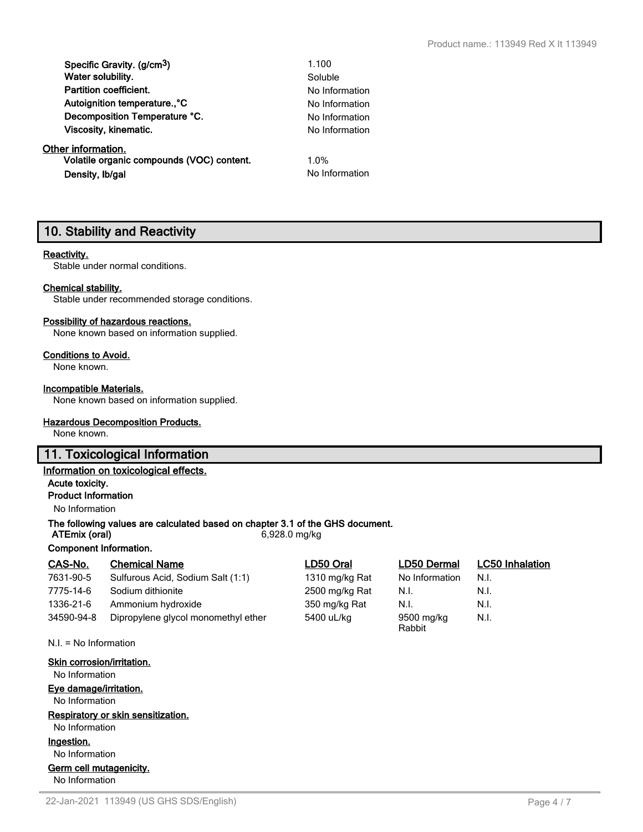| Specific Gravity. (g/cm <sup>3</sup> )    | 1.100          |
|-------------------------------------------|----------------|
| Water solubility.                         | Soluble        |
| <b>Partition coefficient.</b>             | No Information |
| Autoignition temperature <sup>°</sup> C   | No Information |
| Decomposition Temperature °C.             | No Information |
| Viscosity, kinematic.                     | No Information |
| Other information.                        |                |
| Volatile organic compounds (VOC) content. | 1.0%           |
| Density, Ib/gal                           | No Information |

# **10. Stability and Reactivity**

#### **Reactivity.**

Stable under normal conditions.

#### **Chemical stability.**

Stable under recommended storage conditions.

#### **Possibility of hazardous reactions.**

None known based on information supplied.

#### **Conditions to Avoid.**

None known.

#### **Incompatible Materials.**

None known based on information supplied.

#### **Hazardous Decomposition Products.**

None known.

# **11. Toxicological Information**

### **Information on toxicological effects.**

**Acute toxicity.**

**Product Information**

No Information

### **The following values are calculated based on chapter 3.1 of the GHS document.**

**ATEmix (oral)** 6,928.0 mg/kg

## **Component Information.**

| CAS-No.    | <b>Chemical Name</b>                | LD50 Oral      | <b>LD50 Dermal</b>   | <b>LC50 Inhalation</b> |
|------------|-------------------------------------|----------------|----------------------|------------------------|
| 7631-90-5  | Sulfurous Acid, Sodium Salt (1:1)   | 1310 mg/kg Rat | No Information       | N.I.                   |
| 7775-14-6  | Sodium dithionite                   | 2500 mg/kg Rat | N.I.                 | N.I.                   |
| 1336-21-6  | Ammonium hydroxide                  | 350 mg/kg Rat  | N.I.                 | N.I.                   |
| 34590-94-8 | Dipropylene glycol monomethyl ether | 5400 uL/kg     | 9500 mg/kg<br>Rabbit | N.I.                   |

N.I. = No Information

### **Skin corrosion/irritation.** No Information **Eye damage/irritation.** No Information **Respiratory or skin sensitization.** No Information **Ingestion.**

No Information

# **Germ cell mutagenicity.**

No Information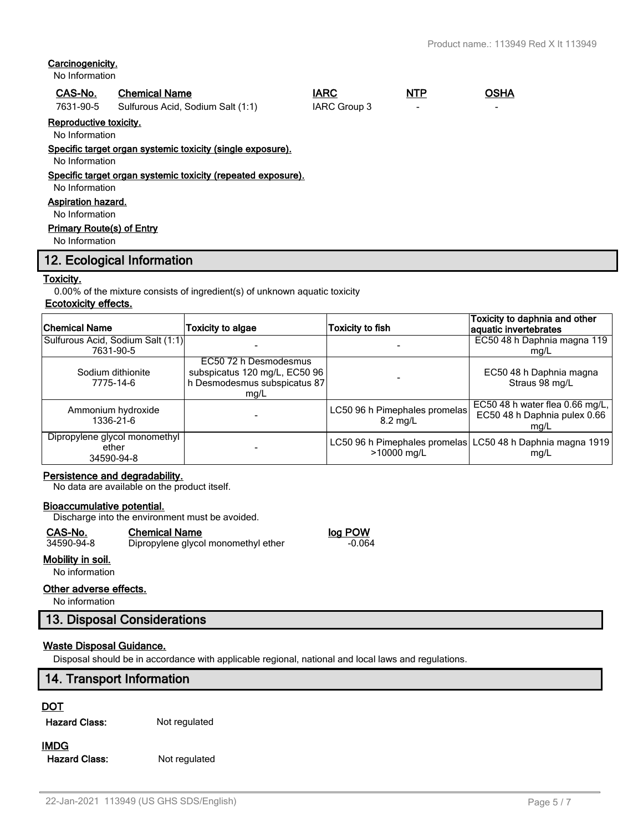### **Carcinogenicity.**

No Information

#### **CAS-No. Chemical Name IARC NTP OSHA**

7631-90-5 Sulfurous Acid, Sodium Salt (1:1) IARC Group 3 -

**Reproductive toxicity.**

No Information

#### **Specific target organ systemic toxicity (single exposure).**

No Information

#### **Specific target organ systemic toxicity (repeated exposure).**

No Information

### **Aspiration hazard.**

No Information

#### **Primary Route(s) of Entry**

No Information

# **12. Ecological Information**

#### **Toxicity.**

0.00% of the mixture consists of ingredient(s) of unknown aquatic toxicity

# **Ecotoxicity effects.**

| <b>Chemical Name</b>                                 | <b>Toxicity to algae</b>                                                                       | <b>Toxicity to fish</b>                      | Toxicity to daphnia and other<br>aquatic invertebrates                    |
|------------------------------------------------------|------------------------------------------------------------------------------------------------|----------------------------------------------|---------------------------------------------------------------------------|
| Sulfurous Acid, Sodium Salt (1:1)<br>7631-90-5       |                                                                                                |                                              | EC50 48 h Daphnia magna 119<br>mg/L                                       |
| Sodium dithionite<br>7775-14-6                       | EC50 72 h Desmodesmus<br>subspicatus 120 mg/L, EC50 96<br>h Desmodesmus subspicatus 87<br>mg/L |                                              | EC50 48 h Daphnia magna<br>Straus 98 mg/L                                 |
| Ammonium hydroxide<br>1336-21-6                      |                                                                                                | LC50 96 h Pimephales promelas<br>8.2 mg/L    | EC50 48 h water flea $0.66$ mg/L,<br>EC50 48 h Daphnia pulex 0.66<br>mg/L |
| Dipropylene glycol monomethyl<br>ether<br>34590-94-8 |                                                                                                | LC50 96 h Pimephales promelas<br>>10000 mg/L | LC50 48 h Daphnia magna 1919<br>mq/L                                      |

#### **Persistence and degradability.**

No data are available on the product itself.

#### **Bioaccumulative potential.**

Discharge into the environment must be avoided.

#### **CAS-No. Chemical Name log POW**

# 34590-94-8 Dipropylene glycol monomethyl ether -0.064

**Mobility in soil.** No information

### **Other adverse effects.**

No information

# **13. Disposal Considerations**

#### **Waste Disposal Guidance.**

Disposal should be in accordance with applicable regional, national and local laws and regulations.

## **14. Transport Information**

#### **DOT**

**Hazard Class:** Not regulated

## **IMDG**

**Hazard Class:** Not regulated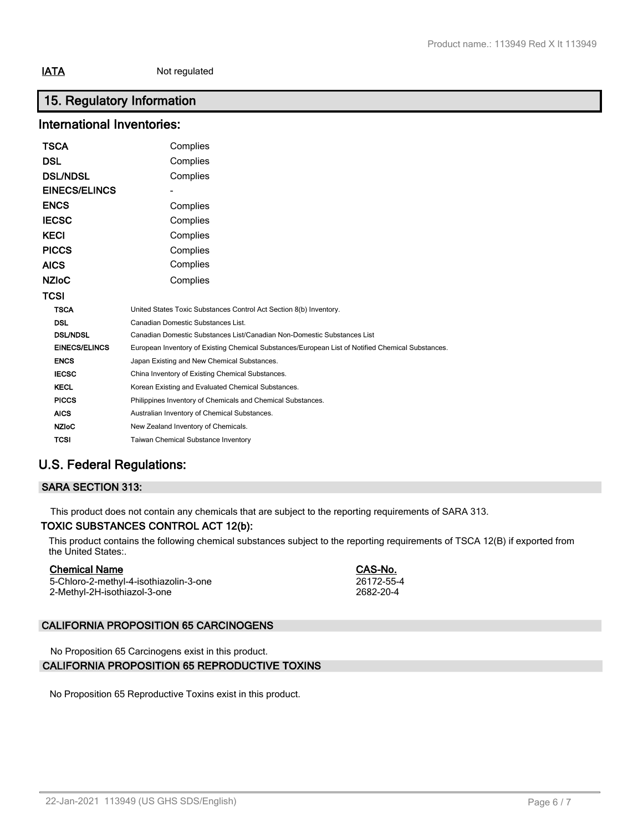# **15. Regulatory Information**

# **International Inventories:**

| TSCA                 | Complies                                                                                          |
|----------------------|---------------------------------------------------------------------------------------------------|
| DSL                  | Complies                                                                                          |
| <b>DSL/NDSL</b>      | Complies                                                                                          |
| <b>EINECS/ELINCS</b> |                                                                                                   |
| <b>ENCS</b>          | Complies                                                                                          |
| <b>IECSC</b>         | Complies                                                                                          |
| KECI                 | Complies                                                                                          |
| <b>PICCS</b>         | Complies                                                                                          |
| AICS                 | Complies                                                                                          |
| <b>NZIoC</b>         | Complies                                                                                          |
| TCSI                 |                                                                                                   |
| <b>TSCA</b>          | United States Toxic Substances Control Act Section 8(b) Inventory.                                |
| <b>DSL</b>           | Canadian Domestic Substances List.                                                                |
| <b>DSL/NDSL</b>      | Canadian Domestic Substances List/Canadian Non-Domestic Substances List                           |
| <b>EINECS/ELINCS</b> | European Inventory of Existing Chemical Substances/European List of Notified Chemical Substances. |
| <b>ENCS</b>          | Japan Existing and New Chemical Substances.                                                       |
| <b>IECSC</b>         | China Inventory of Existing Chemical Substances.                                                  |
| <b>KECL</b>          | Korean Existing and Evaluated Chemical Substances.                                                |
| <b>PICCS</b>         | Philippines Inventory of Chemicals and Chemical Substances.                                       |
| <b>AICS</b>          | Australian Inventory of Chemical Substances.                                                      |
| <b>NZIoC</b>         | New Zealand Inventory of Chemicals.                                                               |
| TCSI                 | <b>Taiwan Chemical Substance Inventory</b>                                                        |

# **U.S. Federal Regulations:**

## **SARA SECTION 313:**

This product does not contain any chemicals that are subject to the reporting requirements of SARA 313.

# **TOXIC SUBSTANCES CONTROL ACT 12(b):**

This product contains the following chemical substances subject to the reporting requirements of TSCA 12(B) if exported from the United States:.

#### **Chemical Name CAS-No.**

5-Chloro-2-methyl-4-isothiazolin-3-one 26172-55-4<br>2-Methyl-2H-isothiazol-3-one 2682-20-4 2-Methyl-2H-isothiazol-3-one

# **CALIFORNIA PROPOSITION 65 CARCINOGENS**

No Proposition 65 Carcinogens exist in this product.

# **CALIFORNIA PROPOSITION 65 REPRODUCTIVE TOXINS**

No Proposition 65 Reproductive Toxins exist in this product.